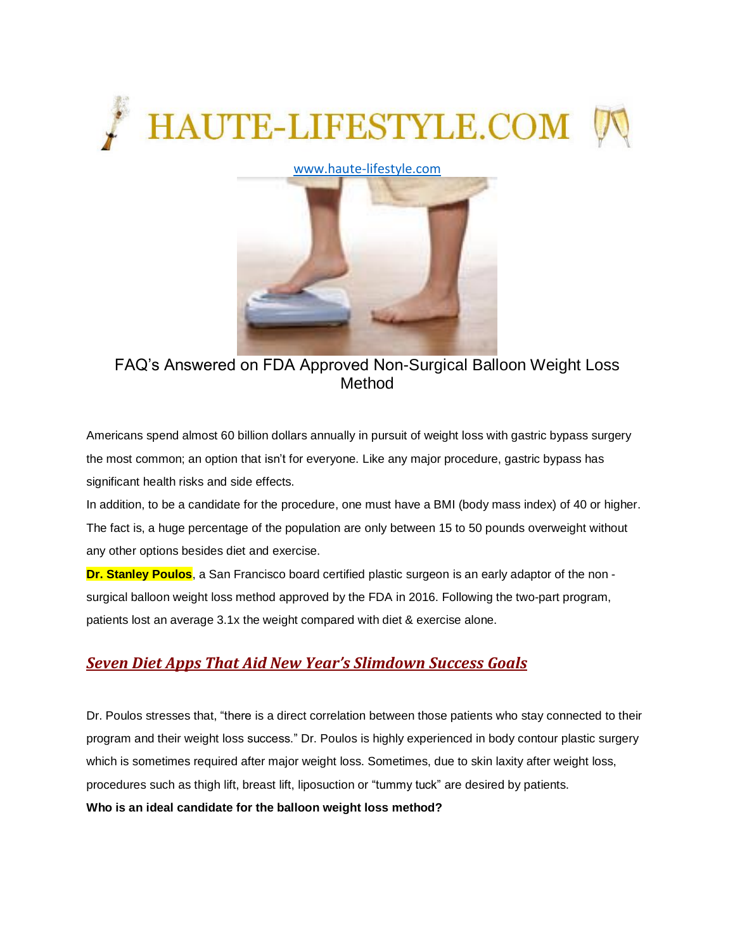

## [www.haute-lifestyle.com](http://www.haute-lifestyle.com/)



FAQ's Answered on FDA Approved Non-Surgical Balloon Weight Loss Method

Americans spend almost 60 billion dollars annually in pursuit of weight loss with gastric bypass surgery the most common; an option that isn't for everyone. Like any major procedure, gastric bypass has significant health risks and side effects.

In addition, to be a candidate for the procedure, one must have a BMI (body mass index) of 40 or higher. The fact is, a huge percentage of the population are only between 15 to 50 pounds overweight without any other options besides diet and exercise.

**Dr. Stanley Poulos**, a San Francisco board certified plastic surgeon is an early adaptor of the non surgical balloon weight loss method approved by the FDA in 2016. Following the two-part program, patients lost an average 3.1x the weight compared with diet & exercise alone.

# *Seven Diet Apps That Aid New Year's [Slimdown](http://haute-lifestyle.com/haute-lifestyle-life-style/health-wellness/3164-seven-diet-apps-that-aid-new-year-s-slimdown-success-goals.html) Success Goals*

Dr. Poulos stresses that, "there is a direct correlation between those patients who stay connected to their program and their weight loss success." Dr. Poulos is highly experienced in body contour plastic surgery which is sometimes required after major weight loss. Sometimes, due to skin laxity after weight loss, procedures such as thigh lift, breast lift, liposuction or "tummy tuck" are desired by patients. **Who is an ideal candidate for the balloon weight loss method?**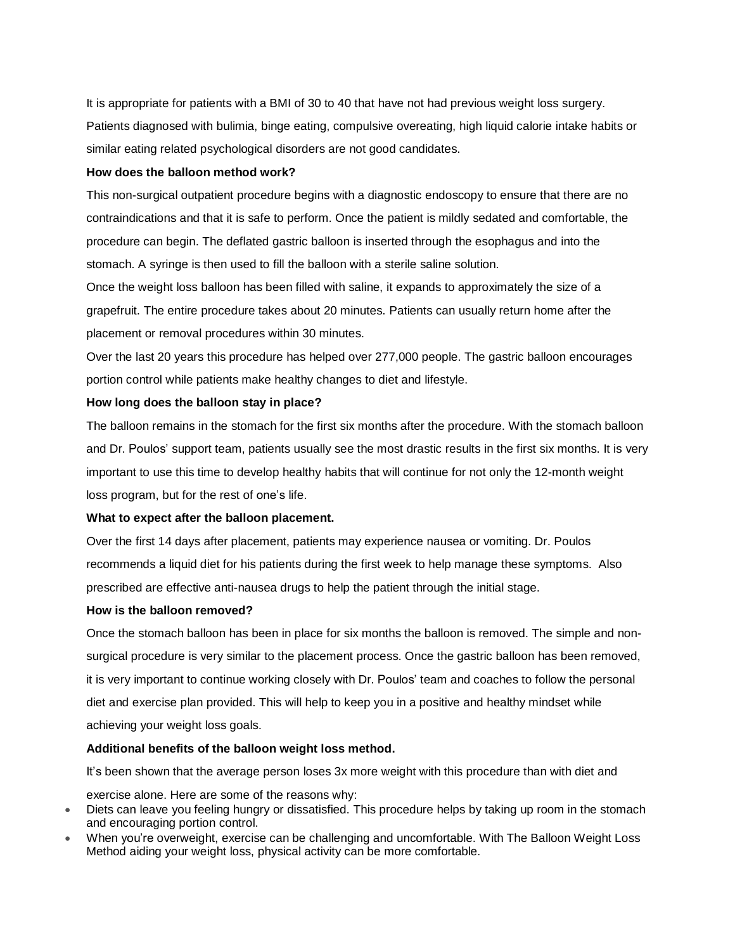It is appropriate for patients with a BMI of 30 to 40 that have not had previous weight loss surgery. Patients diagnosed with bulimia, binge eating, compulsive overeating, high liquid calorie intake habits or similar eating related psychological disorders are not good candidates.

### **How does the balloon method work?**

This non-surgical outpatient procedure begins with a diagnostic endoscopy to ensure that there are no contraindications and that it is safe to perform. Once the patient is mildly sedated and comfortable, the procedure can begin. The deflated gastric balloon is inserted through the esophagus and into the stomach. A syringe is then used to fill the balloon with a sterile saline solution.

Once the weight loss balloon has been filled with saline, it expands to approximately the size of a grapefruit. The entire procedure takes about 20 minutes. Patients can usually return home after the placement or removal procedures within 30 minutes.

Over the last 20 years this procedure has helped over 277,000 people. The gastric balloon encourages portion control while patients make healthy changes to diet and lifestyle.

#### **How long does the balloon stay in place?**

The balloon remains in the stomach for the first six months after the procedure. With the stomach balloon and Dr. Poulos' support team, patients usually see the most drastic results in the first six months. It is very important to use this time to develop healthy habits that will continue for not only the 12-month weight loss program, but for the rest of one's life.

#### **What to expect after the balloon placement.**

Over the first 14 days after placement, patients may experience nausea or vomiting. Dr. Poulos recommends a liquid diet for his patients during the first week to help manage these symptoms. Also prescribed are effective anti-nausea drugs to help the patient through the initial stage.

#### **How is the balloon removed?**

Once the stomach balloon has been in place for six months the balloon is removed. The simple and nonsurgical procedure is very similar to the placement process. Once the gastric balloon has been removed, it is very important to continue working closely with Dr. Poulos' team and coaches to follow the personal diet and exercise plan provided. This will help to keep you in a positive and healthy mindset while achieving your weight loss goals.

### **Additional benefits of the balloon weight loss method.**

It's been shown that the average person loses 3x more weight with this procedure than with diet and exercise alone. Here are some of the reasons why:

- Diets can leave you feeling hungry or dissatisfied. This procedure helps by taking up room in the stomach and encouraging portion control.
- When you're overweight, exercise can be challenging and uncomfortable. With The Balloon Weight Loss Method aiding your weight loss, physical activity can be more comfortable.